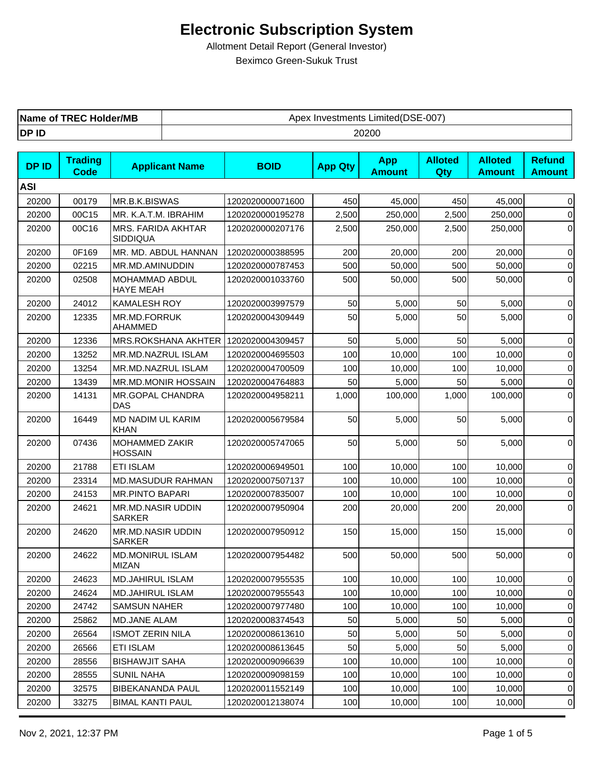| TREC Holder/MB | Limited(DSE-007) |
|----------------|------------------|
| Name of        | Apex Investments |
| DP ID          | 20200            |

| <b>DPID</b> | <b>Trading</b><br>Code | <b>Applicant Name</b>                     | <b>BOID</b>      | <b>App Qty</b> | <b>App</b><br><b>Amount</b> | <b>Alloted</b><br>Qty | <b>Alloted</b><br><b>Amount</b> | <b>Refund</b><br><b>Amount</b> |
|-------------|------------------------|-------------------------------------------|------------------|----------------|-----------------------------|-----------------------|---------------------------------|--------------------------------|
| <b>ASI</b>  |                        |                                           |                  |                |                             |                       |                                 |                                |
| 20200       | 00179                  | MR.B.K.BISWAS                             | 1202020000071600 | 450            | 45,000                      | 450                   | 45,000                          | $\overline{0}$                 |
| 20200       | 00C15                  | MR. K.A.T.M. IBRAHIM                      | 1202020000195278 | 2,500          | 250,000                     | 2,500                 | 250,000                         | $\overline{0}$                 |
| 20200       | 00C16                  | MRS. FARIDA AKHTAR<br>SIDDIQUA            | 1202020000207176 | 2,500          | 250,000                     | 2,500                 | 250,000                         | $\overline{0}$                 |
| 20200       | 0F169                  | MR. MD. ABDUL HANNAN                      | 1202020000388595 | 200            | 20,000                      | 200                   | 20,000                          | $\overline{0}$                 |
| 20200       | 02215                  | MR.MD.AMINUDDIN                           | 1202020000787453 | 500            | 50,000                      | 500                   | 50,000                          | $\overline{0}$                 |
| 20200       | 02508                  | MOHAMMAD ABDUL<br><b>HAYE MEAH</b>        | 1202020001033760 | 500            | 50,000                      | 500                   | 50,000                          | $\overline{0}$                 |
| 20200       | 24012                  | <b>KAMALESH ROY</b>                       | 1202020003997579 | 50             | 5,000                       | 50                    | 5,000                           | $\overline{0}$                 |
| 20200       | 12335                  | MR.MD.FORRUK<br>AHAMMED                   | 1202020004309449 | 50             | 5,000                       | 50                    | 5,000                           | $\overline{0}$                 |
| 20200       | 12336                  | MRS.ROKSHANA AKHTER   1202020004309457    |                  | 50             | 5,000                       | 50                    | 5,000                           | $\overline{0}$                 |
| 20200       | 13252                  | MR.MD.NAZRUL ISLAM                        | 1202020004695503 | 100            | 10,000                      | 100                   | 10,000                          | $\overline{0}$                 |
| 20200       | 13254                  | MR.MD.NAZRUL ISLAM                        | 1202020004700509 | 100            | 10,000                      | 100                   | 10,000                          | $\overline{0}$                 |
| 20200       | 13439                  | MR.MD.MONIR HOSSAIN                       | 1202020004764883 | 50             | 5,000                       | 50                    | 5,000                           | $\overline{0}$                 |
| 20200       | 14131                  | MR.GOPAL CHANDRA<br>DAS                   | 1202020004958211 | 1,000          | 100,000                     | 1,000                 | 100,000                         | $\overline{0}$                 |
| 20200       | 16449                  | MD NADIM UL KARIM<br><b>KHAN</b>          | 1202020005679584 | 50             | 5,000                       | 50                    | 5,000                           | $\overline{0}$                 |
| 20200       | 07436                  | MOHAMMED ZAKIR<br><b>HOSSAIN</b>          | 1202020005747065 | 50             | 5,000                       | 50                    | 5,000                           | $\overline{0}$                 |
| 20200       | 21788                  | <b>ETI ISLAM</b>                          | 1202020006949501 | 100            | 10,000                      | 100                   | 10,000                          | $\overline{0}$                 |
| 20200       | 23314                  | <b>MD.MASUDUR RAHMAN</b>                  | 1202020007507137 | 100            | 10,000                      | 100                   | 10,000                          | $\overline{0}$                 |
| 20200       | 24153                  | <b>MR.PINTO BAPARI</b>                    | 1202020007835007 | 100            | 10,000                      | 100                   | 10,000                          | $\overline{0}$                 |
| 20200       | 24621                  | MR.MD.NASIR UDDIN<br><b>SARKER</b>        | 1202020007950904 | 200            | 20,000                      | 200                   | 20,000                          | $\overline{0}$                 |
| 20200       | 24620                  | <b>MR.MD.NASIR UDDIN</b><br><b>SARKER</b> | 1202020007950912 | 150            | 15,000                      | 150                   | 15,000                          | $\overline{0}$                 |
| 20200       | 24622                  | <b>MD.MONIRUL ISLAM</b><br><b>MIZAN</b>   | 1202020007954482 | 500            | 50,000                      | 500                   | 50,000                          | $\overline{0}$                 |
| 20200       | 24623                  | <b>MD.JAHIRUL ISLAM</b>                   | 1202020007955535 | 100            | 10,000                      | 100                   | 10,000                          | $\overline{0}$                 |
| 20200       | 24624                  | MD.JAHIRUL ISLAM                          | 1202020007955543 | 100            | 10,000                      | 100                   | 10,000                          | $\overline{0}$                 |
| 20200       | 24742                  | <b>SAMSUN NAHER</b>                       | 1202020007977480 | 100            | 10,000                      | 100                   | 10,000                          | $\overline{0}$                 |
| 20200       | 25862                  | MD.JANE ALAM                              | 1202020008374543 | 50             | 5,000                       | 50                    | 5,000                           | 0                              |
| 20200       | 26564                  | <b>ISMOT ZERIN NILA</b>                   | 1202020008613610 | 50             | 5,000                       | 50                    | 5,000                           | 0                              |
| 20200       | 26566                  | ETI ISLAM                                 | 1202020008613645 | 50             | 5,000                       | 50                    | 5,000                           | 0                              |
| 20200       | 28556                  | <b>BISHAWJIT SAHA</b>                     | 1202020009096639 | 100            | 10,000                      | 100                   | 10,000                          | 0                              |
| 20200       | 28555                  | <b>SUNIL NAHA</b>                         | 1202020009098159 | 100            | 10,000                      | 100                   | 10,000                          | 0                              |
| 20200       | 32575                  | <b>BIBEKANANDA PAUL</b>                   | 1202020011552149 | 100            | 10,000                      | 100                   | 10,000                          | 0                              |
| 20200       | 33275                  | <b>BIMAL KANTI PAUL</b>                   | 1202020012138074 | 100            | 10,000                      | 100                   | 10,000                          | 0                              |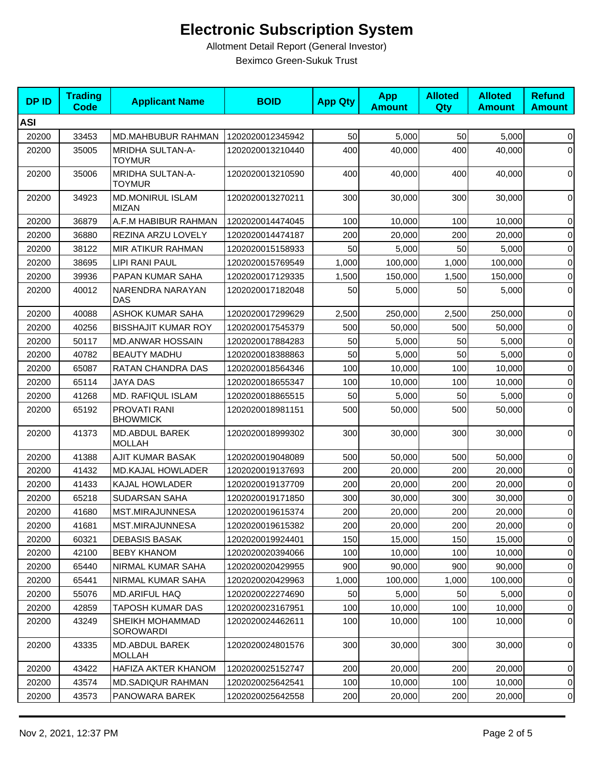| <b>DPID</b> | <b>Trading</b><br><b>Code</b> | <b>Applicant Name</b>                    | <b>BOID</b>      | <b>App Qty</b> | <b>App</b><br><b>Amount</b> | <b>Alloted</b><br>Qty | <b>Alloted</b><br><b>Amount</b> | <b>Refund</b><br><b>Amount</b> |
|-------------|-------------------------------|------------------------------------------|------------------|----------------|-----------------------------|-----------------------|---------------------------------|--------------------------------|
| <b>ASI</b>  |                               |                                          |                  |                |                             |                       |                                 |                                |
| 20200       | 33453                         | MD.MAHBUBUR RAHMAN                       | 1202020012345942 | 50             | 5,000                       | 50                    | 5,000                           | $\overline{0}$                 |
| 20200       | 35005                         | MRIDHA SULTAN-A-<br><b>TOYMUR</b>        | 1202020013210440 | 400            | 40,000                      | 400                   | 40,000                          | $\overline{0}$                 |
| 20200       | 35006                         | <b>MRIDHA SULTAN-A-</b><br><b>TOYMUR</b> | 1202020013210590 | 400            | 40,000                      | 400                   | 40,000                          | $\overline{0}$                 |
| 20200       | 34923                         | <b>MD.MONIRUL ISLAM</b><br><b>MIZAN</b>  | 1202020013270211 | 300            | 30,000                      | 300                   | 30.000                          | $\overline{0}$                 |
| 20200       | 36879                         | A.F.M HABIBUR RAHMAN                     | 1202020014474045 | 100            | 10,000                      | 100                   | 10,000                          | $\overline{0}$                 |
| 20200       | 36880                         | REZINA ARZU LOVELY                       | 1202020014474187 | 200            | 20,000                      | 200                   | 20,000                          | $\overline{0}$                 |
| 20200       | 38122                         | MIR ATIKUR RAHMAN                        | 1202020015158933 | 50             | 5,000                       | 50                    | 5,000                           | $\overline{0}$                 |
| 20200       | 38695                         | LIPI RANI PAUL                           | 1202020015769549 | 1,000          | 100,000                     | 1,000                 | 100,000                         | $\overline{0}$                 |
| 20200       | 39936                         | PAPAN KUMAR SAHA                         | 1202020017129335 | 1,500          | 150,000                     | 1,500                 | 150,000                         | $\overline{0}$                 |
| 20200       | 40012                         | NARENDRA NARAYAN<br><b>DAS</b>           | 1202020017182048 | 50             | 5,000                       | 50                    | 5,000                           | 0                              |
| 20200       | 40088                         | ASHOK KUMAR SAHA                         | 1202020017299629 | 2,500          | 250,000                     | 2,500                 | 250,000                         | $\overline{0}$                 |
| 20200       | 40256                         | <b>BISSHAJIT KUMAR ROY</b>               | 1202020017545379 | 500            | 50,000                      | 500                   | 50,000                          | 0                              |
| 20200       | 50117                         | <b>MD.ANWAR HOSSAIN</b>                  | 1202020017884283 | 50             | 5,000                       | 50                    | 5,000                           | 0                              |
| 20200       | 40782                         | <b>BEAUTY MADHU</b>                      | 1202020018388863 | 50             | 5,000                       | 50                    | 5,000                           | $\overline{0}$                 |
| 20200       | 65087                         | RATAN CHANDRA DAS                        | 1202020018564346 | 100            | 10,000                      | 100                   | 10,000                          | $\overline{0}$                 |
| 20200       | 65114                         | <b>JAYA DAS</b>                          | 1202020018655347 | 100            | 10,000                      | 100                   | 10,000                          | $\overline{0}$                 |
| 20200       | 41268                         | MD. RAFIQUL ISLAM                        | 1202020018865515 | 50             | 5,000                       | 50                    | 5,000                           | $\overline{0}$                 |
| 20200       | 65192                         | PROVATI RANI<br><b>BHOWMICK</b>          | 1202020018981151 | 500            | 50,000                      | 500                   | 50,000                          | $\overline{0}$                 |
| 20200       | 41373                         | <b>MD.ABDUL BAREK</b><br>MOLLAH          | 1202020018999302 | 300            | 30,000                      | 300                   | 30,000                          | $\overline{0}$                 |
| 20200       | 41388                         | AJIT KUMAR BASAK                         | 1202020019048089 | 500            | 50,000                      | 500                   | 50,000                          | $\overline{0}$                 |
| 20200       | 41432                         | <b>MD.KAJAL HOWLADER</b>                 | 1202020019137693 | 200            | 20,000                      | 200                   | 20,000                          | $\overline{0}$                 |
| 20200       | 41433                         | KAJAL HOWLADER                           | 1202020019137709 | 200            | 20,000                      | 200                   | 20,000                          | $\overline{0}$                 |
| 20200       | 65218                         | <b>SUDARSAN SAHA</b>                     | 1202020019171850 | 300            | 30,000                      | 300                   | 30,000                          | $\overline{0}$                 |
| 20200       | 41680                         | MST.MIRAJUNNESA                          | 1202020019615374 | 200            | 20,000                      | 200                   | 20,000                          | $\overline{0}$                 |
| 20200       | 41681                         | MST.MIRAJUNNESA                          | 1202020019615382 | 200            | 20,000                      | 200                   | 20,000                          | 0                              |
| 20200       | 60321                         | <b>DEBASIS BASAK</b>                     | 1202020019924401 | 150            | 15,000                      | 150                   | 15,000                          | $\overline{0}$                 |
| 20200       | 42100                         | <b>BEBY KHANOM</b>                       | 1202020020394066 | 100            | 10,000                      | 100                   | 10,000                          | 0                              |
| 20200       | 65440                         | NIRMAL KUMAR SAHA                        | 1202020020429955 | 900            | 90,000                      | 900                   | 90,000                          | $\overline{0}$                 |
| 20200       | 65441                         | NIRMAL KUMAR SAHA                        | 1202020020429963 | 1,000          | 100,000                     | 1,000                 | 100,000                         | $\overline{0}$                 |
| 20200       | 55076                         | MD.ARIFUL HAQ                            | 1202020022274690 | 50             | 5,000                       | 50                    | 5,000                           | 0                              |
| 20200       | 42859                         | TAPOSH KUMAR DAS                         | 1202020023167951 | 100            | 10,000                      | 100                   | 10,000                          | 0                              |
| 20200       | 43249                         | SHEIKH MOHAMMAD<br><b>SOROWARDI</b>      | 1202020024462611 | 100            | 10,000                      | 100                   | 10,000                          | 0                              |
| 20200       | 43335                         | MD.ABDUL BAREK<br><b>MOLLAH</b>          | 1202020024801576 | 300            | 30,000                      | 300                   | 30,000                          | 0                              |
| 20200       | 43422                         | HAFIZA AKTER KHANOM                      | 1202020025152747 | 200            | 20,000                      | 200                   | 20,000                          | 0                              |
| 20200       | 43574                         | <b>MD.SADIQUR RAHMAN</b>                 | 1202020025642541 | 100            | 10,000                      | 100                   | 10,000                          | 0                              |
| 20200       | 43573                         | PANOWARA BAREK                           | 1202020025642558 | 200            | 20,000                      | 200                   | 20,000                          | $\Omega$                       |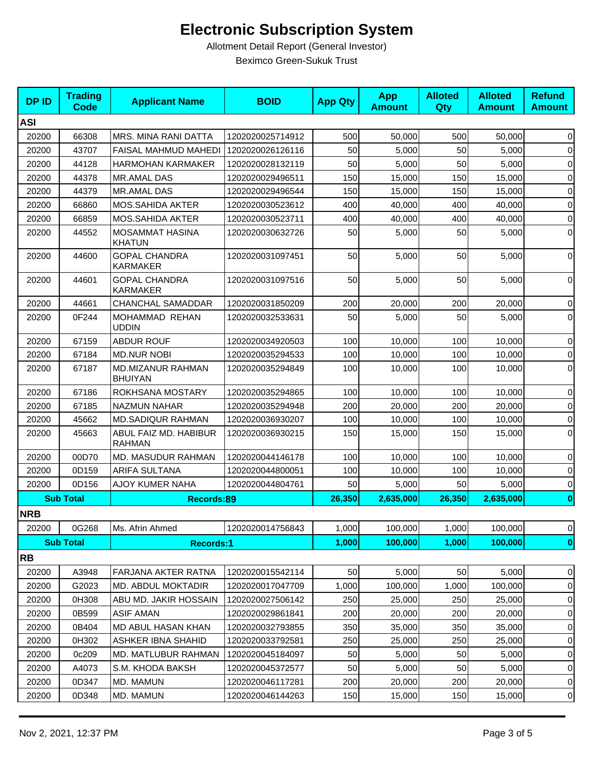| <b>DPID</b> | <b>Trading</b><br>Code | <b>Applicant Name</b>                   | <b>BOID</b>      | <b>App Qty</b> | <b>App</b><br><b>Amount</b> | <b>Alloted</b><br>Qty | <b>Alloted</b><br><b>Amount</b> | <b>Refund</b><br><b>Amount</b> |
|-------------|------------------------|-----------------------------------------|------------------|----------------|-----------------------------|-----------------------|---------------------------------|--------------------------------|
| <b>ASI</b>  |                        |                                         |                  |                |                             |                       |                                 |                                |
| 20200       | 66308                  | <b>MRS. MINA RANI DATTA</b>             | 1202020025714912 | 500            | 50,000                      | 500                   | 50,000                          | $\boldsymbol{0}$               |
| 20200       | 43707                  | <b>FAISAL MAHMUD MAHEDI</b>             | 1202020026126116 | 50             | 5,000                       | 50                    | 5,000                           | 0                              |
| 20200       | 44128                  | <b>HARMOHAN KARMAKER</b>                | 1202020028132119 | 50             | 5,000                       | 50                    | 5,000                           | 0                              |
| 20200       | 44378                  | MR.AMAL DAS                             | 1202020029496511 | 150            | 15,000                      | 150                   | 15,000                          | 0                              |
| 20200       | 44379                  | <b>MR.AMAL DAS</b>                      | 1202020029496544 | 150            | 15,000                      | 150                   | 15.000                          | $\mathbf 0$                    |
| 20200       | 66860                  | <b>MOS.SAHIDA AKTER</b>                 | 1202020030523612 | 400            | 40,000                      | 400                   | 40,000                          | 0                              |
| 20200       | 66859                  | MOS.SAHIDA AKTER                        | 1202020030523711 | 400            | 40,000                      | 400                   | 40,000                          | $\mathbf 0$                    |
| 20200       | 44552                  | MOSAMMAT HASINA<br><b>KHATUN</b>        | 1202020030632726 | 50             | 5,000                       | 50                    | 5,000                           | $\mathbf 0$                    |
| 20200       | 44600                  | <b>GOPAL CHANDRA</b><br><b>KARMAKER</b> | 1202020031097451 | 50             | 5,000                       | 50                    | 5,000                           | 0                              |
| 20200       | 44601                  | <b>GOPAL CHANDRA</b><br><b>KARMAKER</b> | 1202020031097516 | 50             | 5,000                       | 50                    | 5,000                           | $\mathbf 0$                    |
| 20200       | 44661                  | <b>CHANCHAL SAMADDAR</b>                | 1202020031850209 | 200            | 20,000                      | 200                   | 20,000                          | 0                              |
| 20200       | 0F244                  | MOHAMMAD REHAN<br><b>UDDIN</b>          | 1202020032533631 | 50             | 5.000                       | 50                    | 5,000                           | 0                              |
| 20200       | 67159                  | <b>ABDUR ROUF</b>                       | 1202020034920503 | 100            | 10,000                      | 100                   | 10,000                          | $\mathbf 0$                    |
| 20200       | 67184                  | <b>MD.NUR NOBI</b>                      | 1202020035294533 | 100            | 10,000                      | 100                   | 10,000                          | 0                              |
| 20200       | 67187                  | MD.MIZANUR RAHMAN<br><b>BHUIYAN</b>     | 1202020035294849 | 100            | 10,000                      | 100                   | 10,000                          | $\mathbf 0$                    |
| 20200       | 67186                  | ROKHSANA MOSTARY                        | 1202020035294865 | 100            | 10,000                      | 100                   | 10,000                          | 0                              |
| 20200       | 67185                  | <b>NAZMUN NAHAR</b>                     | 1202020035294948 | 200            | 20,000                      | 200                   | 20,000                          | 0                              |
| 20200       | 45662                  | <b>MD.SADIQUR RAHMAN</b>                | 1202020036930207 | 100            | 10,000                      | 100                   | 10,000                          | $\mathbf 0$                    |
| 20200       | 45663                  | ABUL FAIZ MD. HABIBUR<br><b>RAHMAN</b>  | 1202020036930215 | 150            | 15,000                      | 150                   | 15,000                          | 0                              |
| 20200       | 00D70                  | <b>MD. MASUDUR RAHMAN</b>               | 1202020044146178 | 100            | 10,000                      | 100                   | 10,000                          | $\mathbf 0$                    |
| 20200       | 0D159                  | <b>ARIFA SULTANA</b>                    | 1202020044800051 | 100            | 10,000                      | 100                   | 10,000                          | 0                              |
| 20200       | 0D156                  | AJOY KUMER NAHA                         | 1202020044804761 | 50             | 5,000                       | 50                    | 5,000                           | 0                              |
|             | <b>Sub Total</b>       | Records:89                              |                  | 26,350         | 2,635,000                   | 26,350                | 2,635,000                       | $\bf{0}$                       |
| <b>NRB</b>  |                        |                                         |                  |                |                             |                       |                                 |                                |
| 20200       | 0G268                  | Ms. Afrin Ahmed                         | 1202020014756843 | 1,000          | 100,000                     | 1,000                 | 100,000                         | 0                              |
|             | <b>Sub Total</b>       | <b>Records:1</b>                        |                  | 1,000          | 100,000                     | 1,000                 | 100,000                         | $\mathbf{0}$                   |
| <b>RB</b>   |                        |                                         |                  |                |                             |                       |                                 |                                |
| 20200       | A3948                  | FARJANA AKTER RATNA                     | 1202020015542114 | 50             | 5,000                       | 50                    | 5,000                           | 0                              |
| 20200       | G2023                  | <b>MD. ABDUL MOKTADIR</b>               | 1202020017047709 | 1,000          | 100,000                     | 1,000                 | 100,000                         | 0                              |
| 20200       | 0H308                  | ABU MD. JAKIR HOSSAIN                   | 1202020027506142 | 250            | 25,000                      | 250                   | 25,000                          | 0                              |
| 20200       | 0B599                  | <b>ASIF AMAN</b>                        | 1202020029861841 | 200            | 20,000                      | 200                   | 20,000                          | 0                              |
| 20200       | 0B404                  | MD ABUL HASAN KHAN                      | 1202020032793855 | 350            | 35,000                      | 350                   | 35,000                          | 0                              |
| 20200       | 0H302                  | <b>ASHKER IBNA SHAHID</b>               | 1202020033792581 | 250            | 25,000                      | 250                   | 25,000                          | 0                              |
| 20200       | 0c209                  | <b>MD. MATLUBUR RAHMAN</b>              | 1202020045184097 | 50             | 5,000                       | 50                    | 5,000                           | 0                              |
| 20200       | A4073                  | S.M. KHODA BAKSH                        | 1202020045372577 | 50             | 5,000                       | 50                    | 5,000                           | 0                              |
| 20200       | 0D347                  | MD. MAMUN                               | 1202020046117281 | 200            | 20,000                      | 200                   | 20,000                          | 0                              |
| 20200       | 0D348                  | MD. MAMUN                               | 1202020046144263 | 150            | 15,000                      | 150                   | 15,000                          | 0                              |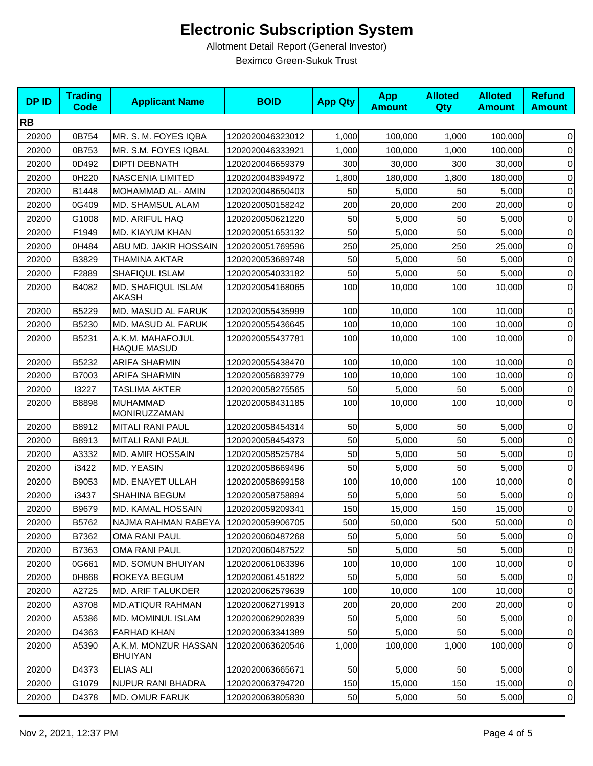| <b>DPID</b> | <b>Trading</b><br>Code | <b>Applicant Name</b>                  | <b>BOID</b>      | <b>App Qty</b> | <b>App</b><br><b>Amount</b> | <b>Alloted</b><br>Qty | <b>Alloted</b><br><b>Amount</b> | <b>Refund</b><br><b>Amount</b> |
|-------------|------------------------|----------------------------------------|------------------|----------------|-----------------------------|-----------------------|---------------------------------|--------------------------------|
| <b>RB</b>   |                        |                                        |                  |                |                             |                       |                                 |                                |
| 20200       | 0B754                  | MR. S. M. FOYES IQBA                   | 1202020046323012 | 1,000          | 100,000                     | 1,000                 | 100,000                         | $\overline{0}$                 |
| 20200       | 0B753                  | MR. S.M. FOYES IQBAL                   | 1202020046333921 | 1,000          | 100,000                     | 1,000                 | 100,000                         | 0                              |
| 20200       | 0D492                  | <b>DIPTI DEBNATH</b>                   | 1202020046659379 | 300            | 30,000                      | 300                   | 30,000                          | $\overline{0}$                 |
| 20200       | 0H220                  | <b>NASCENIA LIMITED</b>                | 1202020048394972 | 1,800          | 180,000                     | 1,800                 | 180,000                         | $\overline{0}$                 |
| 20200       | B1448                  | MOHAMMAD AL- AMIN                      | 1202020048650403 | 50             | 5,000                       | 50                    | 5,000                           | $\overline{0}$                 |
| 20200       | 0G409                  | MD. SHAMSUL ALAM                       | 1202020050158242 | 200            | 20,000                      | 200                   | 20,000                          | $\overline{0}$                 |
| 20200       | G1008                  | MD. ARIFUL HAQ                         | 1202020050621220 | 50             | 5,000                       | 50                    | 5,000                           | $\overline{0}$                 |
| 20200       | F1949                  | MD. KIAYUM KHAN                        | 1202020051653132 | 50             | 5,000                       | 50                    | 5,000                           | $\overline{0}$                 |
| 20200       | 0H484                  | ABU MD. JAKIR HOSSAIN                  | 1202020051769596 | 250            | 25,000                      | 250                   | 25,000                          | $\overline{0}$                 |
| 20200       | B3829                  | THAMINA AKTAR                          | 1202020053689748 | 50             | 5,000                       | 50                    | 5,000                           | $\overline{0}$                 |
| 20200       | F2889                  | SHAFIQUL ISLAM                         | 1202020054033182 | 50             | 5,000                       | 50                    | 5,000                           | $\overline{0}$                 |
| 20200       | B4082                  | MD. SHAFIQUL ISLAM<br>AKASH            | 1202020054168065 | 100            | 10,000                      | 100                   | 10,000                          | $\overline{0}$                 |
| 20200       | B5229                  | MD. MASUD AL FARUK                     | 1202020055435999 | 100            | 10,000                      | 100                   | 10,000                          | $\overline{0}$                 |
| 20200       | B5230                  | MD. MASUD AL FARUK                     | 1202020055436645 | 100            | 10,000                      | 100                   | 10,000                          | $\overline{0}$                 |
| 20200       | B5231                  | A.K.M. MAHAFOJUL<br><b>HAQUE MASUD</b> | 1202020055437781 | 100            | 10,000                      | 100                   | 10,000                          | 0                              |
| 20200       | B5232                  | <b>ARIFA SHARMIN</b>                   | 1202020055438470 | 100            | 10,000                      | 100                   | 10,000                          | $\overline{0}$                 |
| 20200       | B7003                  | <b>ARIFA SHARMIN</b>                   | 1202020056839779 | 100            | 10,000                      | 100                   | 10,000                          | $\overline{0}$                 |
| 20200       | 13227                  | <b>TASLIMA AKTER</b>                   | 1202020058275565 | 50             | 5,000                       | 50                    | 5,000                           | $\overline{0}$                 |
| 20200       | B8898                  | <b>MUHAMMAD</b><br>MONIRUZZAMAN        | 1202020058431185 | 100            | 10,000                      | 100                   | 10,000                          | $\overline{0}$                 |
| 20200       | B8912                  | <b>MITALI RANI PAUL</b>                | 1202020058454314 | 50             | 5,000                       | 50                    | 5,000                           | $\overline{0}$                 |
| 20200       | B8913                  | <b>MITALI RANI PAUL</b>                | 1202020058454373 | 50             | 5,000                       | 50                    | 5,000                           | $\overline{0}$                 |
| 20200       | A3332                  | <b>MD. AMIR HOSSAIN</b>                | 1202020058525784 | 50             | 5,000                       | 50                    | 5,000                           | $\overline{0}$                 |
| 20200       | i3422                  | MD. YEASIN                             | 1202020058669496 | 50             | 5,000                       | 50                    | 5,000                           | $\overline{0}$                 |
| 20200       | B9053                  | MD. ENAYET ULLAH                       | 1202020058699158 | 100            | 10,000                      | 100                   | 10,000                          | $\overline{0}$                 |
| 20200       | i3437                  | SHAHINA BEGUM                          | 1202020058758894 | 50             | 5,000                       | 50                    | 5,000                           | $\overline{0}$                 |
| 20200       | B9679                  | MD. KAMAL HOSSAIN                      | 1202020059209341 | 150            | 15,000                      | 150                   | 15,000                          | $\overline{0}$                 |
| 20200       | B5762                  | NAJMA RAHMAN RABEYA                    | 1202020059906705 | 500            | 50,000                      | 500                   | 50,000                          | $\overline{0}$                 |
| 20200       | B7362                  | OMA RANI PAUL                          | 1202020060487268 | 50             | 5,000                       | 50                    | 5,000                           | 0                              |
| 20200       | B7363                  | OMA RANI PAUL                          | 1202020060487522 | 50             | 5,000                       | 50                    | 5,000                           | $\overline{0}$                 |
| 20200       | 0G661                  | MD. SOMUN BHUIYAN                      | 1202020061063396 | 100            | 10,000                      | 100                   | 10,000                          | 0                              |
| 20200       | 0H868                  | ROKEYA BEGUM                           | 1202020061451822 | 50             | 5,000                       | 50                    | 5,000                           | 0                              |
| 20200       | A2725                  | <b>MD. ARIF TALUKDER</b>               | 1202020062579639 | 100            | 10,000                      | 100                   | 10,000                          | 0                              |
| 20200       | A3708                  | <b>MD.ATIQUR RAHMAN</b>                | 1202020062719913 | 200            | 20,000                      | 200                   | 20,000                          | 0                              |
| 20200       | A5386                  | MD. MOMINUL ISLAM                      | 1202020062902839 | 50             | 5,000                       | 50                    | 5,000                           | $\Omega$                       |
| 20200       | D4363                  | <b>FARHAD KHAN</b>                     | 1202020063341389 | 50             | 5,000                       | 50                    | 5,000                           | 0                              |
| 20200       | A5390                  | A.K.M. MONZUR HASSAN<br><b>BHUIYAN</b> | 1202020063620546 | 1,000          | 100,000                     | 1,000                 | 100,000                         | 0                              |
| 20200       | D4373                  | <b>ELIAS ALI</b>                       | 1202020063665671 | 50             | 5,000                       | 50                    | 5,000                           | $\vert 0 \vert$                |
| 20200       | G1079                  | NUPUR RANI BHADRA                      | 1202020063794720 | 150            | 15,000                      | 150                   | 15,000                          | 0                              |
| 20200       | D4378                  | MD. OMUR FARUK                         | 1202020063805830 | 50             | 5,000                       | 50                    | 5,000                           | 0                              |